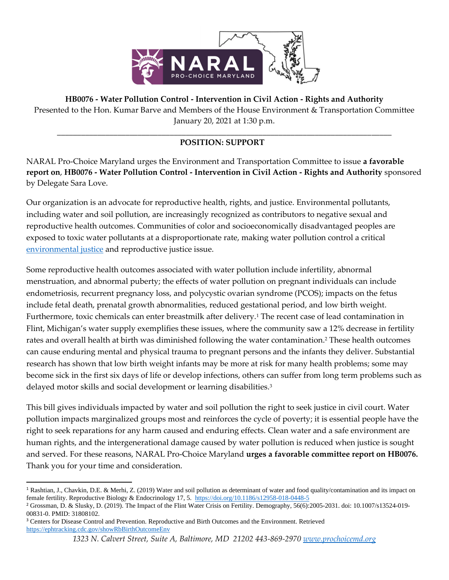

**HB0076 - Water Pollution Control - Intervention in Civil Action - Rights and Authority** Presented to the Hon. Kumar Barve and Members of the House Environment & Transportation Committee January 20, 2021 at 1:30 p.m.

## \_\_\_\_\_\_\_\_\_\_\_\_\_\_\_\_\_\_\_\_\_\_\_\_\_\_\_\_\_\_\_\_\_\_\_\_\_\_\_\_\_\_\_\_\_\_\_\_\_\_\_\_\_\_\_\_\_\_\_\_\_\_\_\_\_\_\_\_\_\_\_\_\_\_\_\_\_\_\_\_\_\_\_ **POSITION: SUPPORT**

NARAL Pro-Choice Maryland urges the Environment and Transportation Committee to issue **a favorable report on**, **HB0076 - Water Pollution Control - Intervention in Civil Action - Rights and Authority** sponsored by Delegate Sara Love.

Our organization is an advocate for reproductive health, rights, and justice. Environmental pollutants, including water and soil pollution, are increasingly recognized as contributors to negative sexual and reproductive health outcomes. Communities of color and socioeconomically disadvantaged peoples are exposed to toxic water pollutants at a disproportionate rate, making water pollution control a critical [environmental justice](http://epa.gov/environmentaljustice) and reproductive justice issue.

Some reproductive health outcomes associated with water pollution include infertility, abnormal menstruation, and abnormal puberty; the effects of water pollution on pregnant individuals can include endometriosis, recurrent pregnancy loss, and polycystic ovarian syndrome (PCOS); impacts on the fetus include fetal death, prenatal growth abnormalities, reduced gestational period, and low birth weight. Furthermore, toxic chemicals can enter breastmilk after delivery.<sup>1</sup> The recent case of lead contamination in Flint, Michigan's water supply exemplifies these issues, where the community saw a 12% decrease in fertility rates and overall health at birth was diminished following the water contamination.<sup>2</sup> These health outcomes can cause enduring mental and physical trauma to pregnant persons and the infants they deliver. Substantial research has shown that low birth weight infants may be more at risk for many health problems; some may become sick in the first six days of life or develop infections, others can suffer from long term problems such as delayed motor skills and social development or learning disabilities.<sup>3</sup>

This bill gives individuals impacted by water and soil pollution the right to seek justice in civil court. Water pollution impacts marginalized groups most and reinforces the cycle of poverty; it is essential people have the right to seek reparations for any harm caused and enduring effects. Clean water and a safe environment are human rights, and the intergenerational damage caused by water pollution is reduced when justice is sought and served. For these reasons, NARAL Pro-Choice Maryland **urges a favorable committee report on HB0076.** Thank you for your time and consideration.

<sup>1</sup> Rashtian, J., Chavkin, D.E. & Merhi, Z. (2019) Water and soil pollution as determinant of water and food quality/contamination and its impact on female fertility. Reproductive Biology & Endocrinology 17, 5. <https://doi.org/10.1186/s12958-018-0448-5>

<sup>2</sup> Grossman, D. & Slusky, D. (2019). The Impact of the Flint Water Crisis on Fertility. Demography, 56(6):2005-2031. doi: 10.1007/s13524-019- 00831-0. PMID: 31808102.

<sup>3</sup> Centers for Disease Control and Prevention. Reproductive and Birth Outcomes and the Environment. Retrieved <https://ephtracking.cdc.gov/showRbBirthOutcomeEnv>